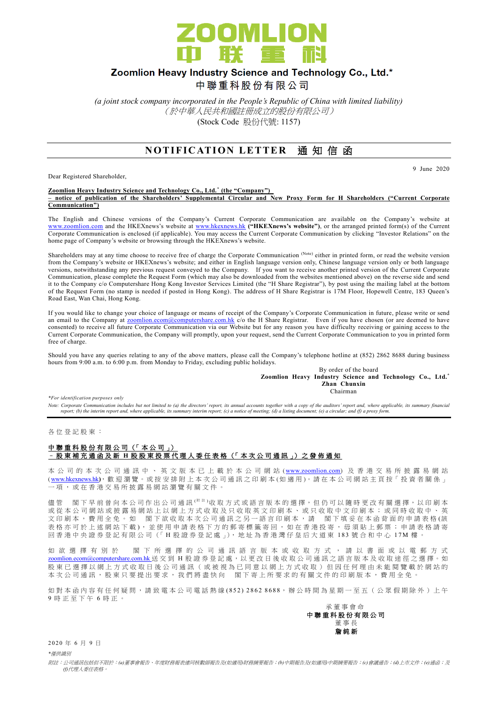

# Zoomlion Heavy Industry Science and Technology Co., Ltd.\*

中聯重科股份有限公司

*(a joint stock company incorporated in the People's Republic of China with limited liability)* (於中華人民共和國註冊成立的股份有限公司) (Stock Code 股份代號: 1157)

## **NOTIFICATION LETTER 通知信函**

Dear Registered Shareholder,

9 June 2020

#### **Zoomlion Heavy Industry Science and Technology Co., Ltd. \* (the "Company") – notice of publication of the Shareholders' Supplemental Circular and New Proxy Form for H Shareholders ("Current Corporate Communication")**

The English and Chinese versions of the Company's Current Corporate Communication are available on the Company's website at [www.zoomlion.com](http://www.zoomlion.com/) and the HKEXnews's website at [www.hkexnews.hk](http://www.hkexnews.hk/) **("HKEXnews's website")**, or the arranged printed form(s) of the Current Corporate Communication is enclosed (if applicable). You may access the Current Corporate Communication by clicking "Investor Relations" on the home page of Company's website or browsing through the HKEXnews's website.

Shareholders may at any time choose to receive free of charge the Corporate Communication (Note) either in printed form, or read the website version from the Company's website or HKEXnews's website; and either in English language version only, Chinese language version only or both language versions, notwithstanding any previous request conveyed to the Company. If you want to receive another printed version of the Current Corporate Communication, please complete the Request Form (which may also be downloaded from the websites mentioned above) on the reverse side and send it to the Company c/o Computershare Hong Kong Investor Services Limited (the "H Share Registrar"), by post using the mailing label at the bottom of the Request Form (no stamp is needed if posted in Hong Kong). The address of H Share Registrar is 17M Floor, Hopewell Centre, 183 Queen's Road East, Wan Chai, Hong Kong.

If you would like to change your choice of language or means of receipt of the Company's Corporate Communication in future, please write or send an email to the Company at [zoomlion.ecom@computershare.com.hk](file://///oceania/hongkong/Data/G13GROUP/Project/Zoomlion/eComm/eComm%202013%20Annual/zoomlion.ecom@computershare.com.hk) c/o the H Share Registrar. Even if you have chosen (or are deemed to have consented) to receive all future Corporate Communication via our Website but for any reason you have difficulty receiving or gaining access to the Current Corporate Communication, the Company will promptly, upon your request, send the Current Corporate Communication to you in printed form free of charge.

Should you have any queries relating to any of the above matters, please call the Company's telephone hotline at (852) 2862 8688 during business hours from 9:00 a.m. to 6:00 p.m. from Monday to Friday, excluding public holidays.

By order of the board **Zoomlion Heavy Industry Science and Technology Co., Ltd.\* Zhan Chunxin** Chairman

*\*For identification purposes only* 

*Note: Corporate Communication includes but not limited to (a) the directors' report, its annual accounts together with a copy of the auditors' report and, where applicable, its summary financial report; (b) the interim report and, where applicable, its summary interim report; (c) a notice of meeting; (d) a listing document; (e) a circular; and (f) a proxy form.*

各 位 登 記 股 東 :

### 中聯重科股份有限公司 (「本公司」) – 股 東 補 充 通 函 及 新 **H** 股股東投票代理人委任表格 (「 本 次 公司通訊 」) 之 發 佈 通 知

本 公 司 的 本 次 公 司 通 訊 中 、 英 文 版 本 已 上 載 於 本 公 司 網 站 ([www.zoomlion.com](http://www.zoomlion.com/)) 及 香 港 交 易 所 披 露 易 網 站 ( [www.hkexnews.hk](http://www.hkexnews.hk/)**)**, 歡 迎 瀏 覽 。或 按 安 排 附 上 本 次 公 司 通 訊 之印刷本 (如適用 )。 請 在 本 公 司 網 站 主 頁 按「 投 資 者 關 係 」 一項, 或 在 香 港 交 易 所 披 露 易 網 站 瀏 覽 有 關 文 件 。

儘管 閣下 早 前 曾 向 本 公 司 作 出 公 司 通 訊 <sup>( 附 註</sup> )收 取 方 式 或 語 言 版 本 的 選 擇, 但 仍 可 以 隨 時 更 改 有 關 選 擇, 以 印 刷 本 或從本公司網站或披露易網站上以網上方式收取及只收取英文印刷本、或只收取中文印刷本;或同時收取中、英 文印刷本,費用全免。如 閣下欲收取本次公司通訊之另一語言印刷本,請 閣下填妥在本函背面的申請表格(該 表格亦可於上述網站下載), 並使用申請表格下方的郵寄標籤寄回, 如在香港投寄, 毋須貼上郵票; 申請表格請寄 回香港中央證券登記有限公司(「H股證券登記處」), 地址為香港灣仔皇后大道東 183號合和中心 17M 樓

如 欲 選 擇 有 別 於 閣 下 所 選 擇 的 公 司 通 訊 語 言 版 本 或 收 取 方 式 , 請 以 書 面 或 以 電 郵 方 式 [zoomlion.ecom@computershare.com.hk](mailto:zoomlion.ecom@computershare.com.hk) 送 交 到 H 股 證 券 登 記 處, 以 更 改 日 後 收 取 公 司 通 訊 之 語 言 版 本 及 收 取 途 徑 之 選 擇 。 如 股 東 已 選 擇 以 網 上 方 式 收 取 日 後 公 司 通 訊 ( 或 被 視 為 已 同 意 以 網 上 方 式 收 取 ) 但 因 任 何 理 由 未 能 閲 覽 載 於 網 站 的 本次公司通訊,股東只要提出要求,我們將盡快向 閣下寄上所要求的有關文件的印刷版本,費用全免。

如對本函內容有任何疑問,請致電本公司電話熱線(852) 2862 8688,辦公時間為星期一至五 (公眾假期除外)上午 9 時正至下午 6 時 正 。

承董事會命 中 聯 重 科 股 份 有 限 公 司 董事長 詹 純 新

2 0 2 0 年 6 月 9 日

*\**僅供識別

附註:公司通訊包括但不限於:*(a)*董事會報告、年度財務報表連同核數師報告及*(*如適用*)*財務摘要報告;*(b)*中期報告及*(*如適用*)*中期摘要報告;*(c)*會議通告;*(d)*上市文件;*(e)*通函;及 *(f)*代理人委任表格。